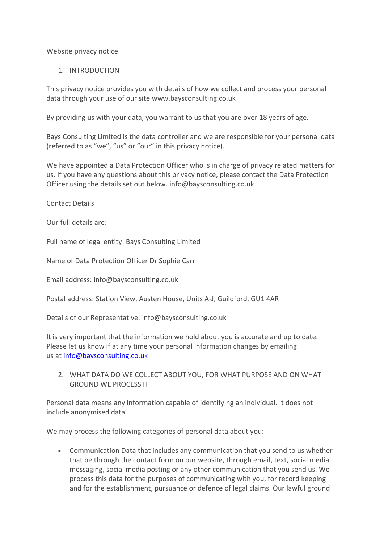Website privacy notice

### 1. INTRODUCTION

This privacy notice provides you with details of how we collect and process your personal data through your use of our site www.baysconsulting.co.uk

By providing us with your data, you warrant to us that you are over 18 years of age.

Bays Consulting Limited is the data controller and we are responsible for your personal data (referred to as "we", "us" or "our" in this privacy notice).

We have appointed a Data Protection Officer who is in charge of privacy related matters for us. If you have any questions about this privacy notice, please contact the Data Protection Officer using the details set out below. info@baysconsulting.co.uk

Contact Details

Our full details are:

Full name of legal entity: Bays Consulting Limited

Name of Data Protection Officer Dr Sophie Carr

Email address: info@baysconsulting.co.uk

Postal address: Station View, Austen House, Units A-J, Guildford, GU1 4AR

Details of our Representative: info@baysconsulting.co.uk

It is very important that the information we hold about you is accurate and up to date. Please let us know if at any time your personal information changes by emailing us at [info@baysconsulting.co.uk](mailto:info@baysconsulting.co.uk)

2. WHAT DATA DO WE COLLECT ABOUT YOU, FOR WHAT PURPOSE AND ON WHAT GROUND WE PROCESS IT

Personal data means any information capable of identifying an individual. It does not include anonymised data.

We may process the following categories of personal data about you:

• Communication Data that includes any communication that you send to us whether that be through the contact form on our website, through email, text, social media messaging, social media posting or any other communication that you send us. We process this data for the purposes of communicating with you, for record keeping and for the establishment, pursuance or defence of legal claims. Our lawful ground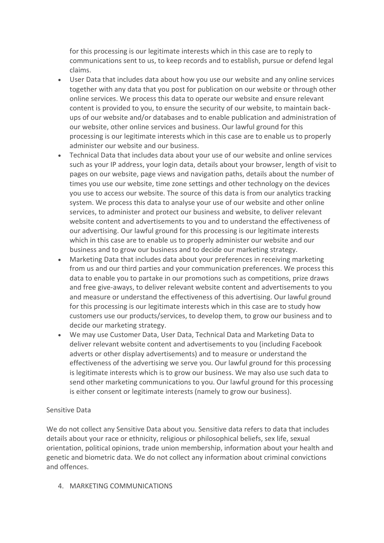for this processing is our legitimate interests which in this case are to reply to communications sent to us, to keep records and to establish, pursue or defend legal claims.

- User Data that includes data about how you use our website and any online services together with any data that you post for publication on our website or through other online services. We process this data to operate our website and ensure relevant content is provided to you, to ensure the security of our website, to maintain backups of our website and/or databases and to enable publication and administration of our website, other online services and business. Our lawful ground for this processing is our legitimate interests which in this case are to enable us to properly administer our website and our business.
- Technical Data that includes data about your use of our website and online services such as your IP address, your login data, details about your browser, length of visit to pages on our website, page views and navigation paths, details about the number of times you use our website, time zone settings and other technology on the devices you use to access our website. The source of this data is from our analytics tracking system. We process this data to analyse your use of our website and other online services, to administer and protect our business and website, to deliver relevant website content and advertisements to you and to understand the effectiveness of our advertising. Our lawful ground for this processing is our legitimate interests which in this case are to enable us to properly administer our website and our business and to grow our business and to decide our marketing strategy.
- Marketing Data that includes data about your preferences in receiving marketing from us and our third parties and your communication preferences. We process this data to enable you to partake in our promotions such as competitions, prize draws and free give-aways, to deliver relevant website content and advertisements to you and measure or understand the effectiveness of this advertising. Our lawful ground for this processing is our legitimate interests which in this case are to study how customers use our products/services, to develop them, to grow our business and to decide our marketing strategy.
- We may use Customer Data, User Data, Technical Data and Marketing Data to deliver relevant website content and advertisements to you (including Facebook adverts or other display advertisements) and to measure or understand the effectiveness of the advertising we serve you. Our lawful ground for this processing is legitimate interests which is to grow our business. We may also use such data to send other marketing communications to you. Our lawful ground for this processing is either consent or legitimate interests (namely to grow our business).

#### Sensitive Data

We do not collect any Sensitive Data about you. Sensitive data refers to data that includes details about your race or ethnicity, religious or philosophical beliefs, sex life, sexual orientation, political opinions, trade union membership, information about your health and genetic and biometric data. We do not collect any information about criminal convictions and offences.

4. MARKETING COMMUNICATIONS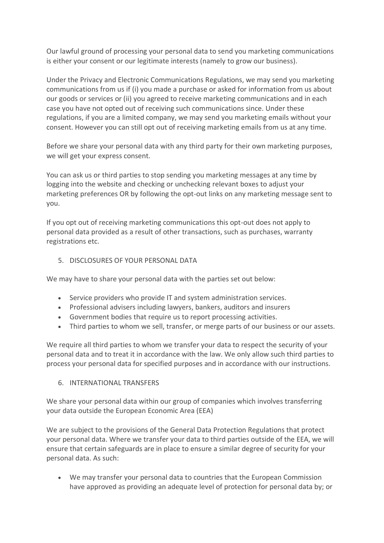Our lawful ground of processing your personal data to send you marketing communications is either your consent or our legitimate interests (namely to grow our business).

Under the Privacy and Electronic Communications Regulations, we may send you marketing communications from us if (i) you made a purchase or asked for information from us about our goods or services or (ii) you agreed to receive marketing communications and in each case you have not opted out of receiving such communications since. Under these regulations, if you are a limited company, we may send you marketing emails without your consent. However you can still opt out of receiving marketing emails from us at any time.

Before we share your personal data with any third party for their own marketing purposes, we will get your express consent.

You can ask us or third parties to stop sending you marketing messages at any time by logging into the website and checking or unchecking relevant boxes to adjust your marketing preferences OR by following the opt-out links on any marketing message sent to you.

If you opt out of receiving marketing communications this opt-out does not apply to personal data provided as a result of other transactions, such as purchases, warranty registrations etc.

## 5. DISCLOSURES OF YOUR PERSONAL DATA

We may have to share your personal data with the parties set out below:

- Service providers who provide IT and system administration services.
- Professional advisers including lawyers, bankers, auditors and insurers
- Government bodies that require us to report processing activities.
- Third parties to whom we sell, transfer, or merge parts of our business or our assets.

We require all third parties to whom we transfer your data to respect the security of your personal data and to treat it in accordance with the law. We only allow such third parties to process your personal data for specified purposes and in accordance with our instructions.

#### 6. INTERNATIONAL TRANSFERS

We share your personal data within our group of companies which involves transferring your data outside the European Economic Area (EEA)

We are subject to the provisions of the General Data Protection Regulations that protect your personal data. Where we transfer your data to third parties outside of the EEA, we will ensure that certain safeguards are in place to ensure a similar degree of security for your personal data. As such:

• We may transfer your personal data to countries that the European Commission have approved as providing an adequate level of protection for personal data by; or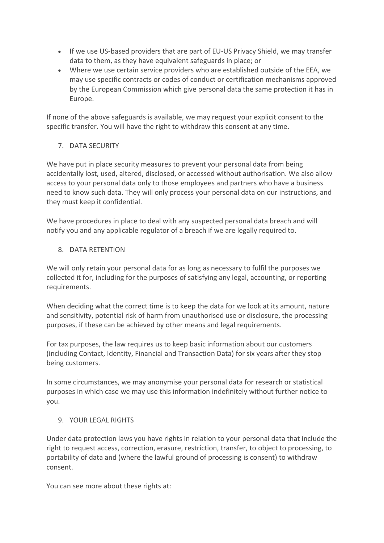- If we use US-based providers that are part of EU-US Privacy Shield, we may transfer data to them, as they have equivalent safeguards in place; or
- Where we use certain service providers who are established outside of the EEA, we may use specific contracts or codes of conduct or certification mechanisms approved by the European Commission which give personal data the same protection it has in Europe.

If none of the above safeguards is available, we may request your explicit consent to the specific transfer. You will have the right to withdraw this consent at any time.

# 7. DATA SECURITY

We have put in place security measures to prevent your personal data from being accidentally lost, used, altered, disclosed, or accessed without authorisation. We also allow access to your personal data only to those employees and partners who have a business need to know such data. They will only process your personal data on our instructions, and they must keep it confidential.

We have procedures in place to deal with any suspected personal data breach and will notify you and any applicable regulator of a breach if we are legally required to.

# 8. DATA RETENTION

We will only retain your personal data for as long as necessary to fulfil the purposes we collected it for, including for the purposes of satisfying any legal, accounting, or reporting requirements.

When deciding what the correct time is to keep the data for we look at its amount, nature and sensitivity, potential risk of harm from unauthorised use or disclosure, the processing purposes, if these can be achieved by other means and legal requirements.

For tax purposes, the law requires us to keep basic information about our customers (including Contact, Identity, Financial and Transaction Data) for six years after they stop being customers.

In some circumstances, we may anonymise your personal data for research or statistical purposes in which case we may use this information indefinitely without further notice to you.

## 9. YOUR LEGAL RIGHTS

Under data protection laws you have rights in relation to your personal data that include the right to request access, correction, erasure, restriction, transfer, to object to processing, to portability of data and (where the lawful ground of processing is consent) to withdraw consent.

You can see more about these rights at: